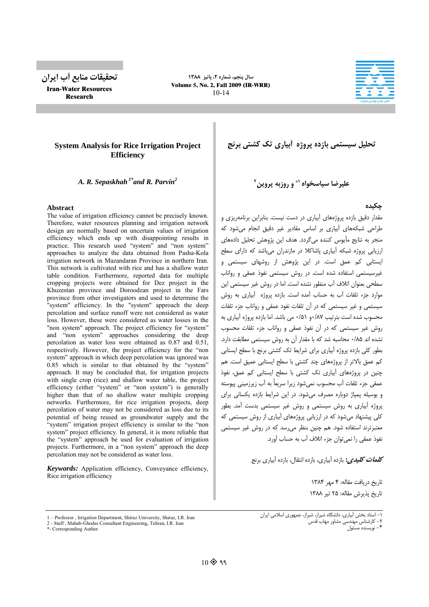

Iran-Water Resources Research

**سال پنجم، شماره ،2 پائيز 1388** Volume 5, No. 2, Fall 2009 (IR-WRR) 10-14



## **System Analysis for Rice Irrigation Project Efficiency**

*A. R. Sepaskhah 1\*and R. Parvin2*

#### **Abstract**

The value of irrigation efficiency cannot be precisely known. Therefore, water resources planning and irrigation network design are normally based on uncertain values of irrigation efficiency which ends up with disappointing results in practice. This research used "system" and "non system" approaches to analyze the data obtained from Pasha-Kola irrigation network in Mazandaran Province in northern Iran. This network is cultivated with rice and has a shallow water table condition. Furthermore, reported data for multiple cropping projects were obtained for Dez project in the Khuzestan province and Doroodzan project in the Fars province from other investigators and used to determine the "system" efficiency. In the "system" approach the deep percolation and surface runoff were not considered as water loss. However, these were considered as water losses in the "non system" approach. The project efficiency for "system" and "non system" approaches considering the deep percolation as water loss were obtained as 0.87 and 0.51, respectively. However, the project efficiency for the "non system" approach in which deep percolation was ignored was 0.85 which is similar to that obtained by the "system" approach. It may be concluded that, for irrigation projects with single crop (rice) and shallow water table, the project efficiency (either "system" or "non system") is generally higher than that of no shallow water multiple cropping networks. Furthermore, for rice irrigation projects, deep percolation of water may not be considered as loss due to its potential of being reused as groundwater supply and the "system" irrigation project efficiency is similar to the "non system" project efficiency. In general, it is more reliable that the "system" approach be used for evaluation of irrigation projects. Furthermore, in a "non system" approach the deep percolation may not be considered as water loss.

*Keywords:* Application efficiency, Conveyance efficiency, Rice irrigation efficiency

1 – Professor , Irrigation Department, Shiraz University, Shiraz, I.R. Iran

2 - Staff , Mahab-Ghodss Consultant Engineering, Tehran, I.R. Iran

**تحليل سيستمي بازده پروژه آبياري تك كشتي برنج**

**و روزبه پروين 1\* عليرضا سپاسخواه 2**

**چكيده**

مقدار دقيق بازده پروژههاي آبياري در دست نيست. بنابراين برنامهريزي و طراحي شبكههاي آبياري بر اساس مقادير غير دقيق انجام ميشود كه منجر به نتايج مأيوس كننده ميگردد. هدف اين پژوهش تحليل دادههاي ارزيابي پروژه شبكه آبياري پاشاكلا در مازندران ميباشد كه داراي سطح ايستابي كم عمق است. در اين پژوهش از روشهاي سيستمي و غيرسيستمي استفاده شده است. در روش سيستمي نفوذ عمقي و رواناب سطحي بعنوان اتلاف آب منظور نشده است. اما در روش غير سيستمي اين موارد جزء تلفات آب به حساب آمده است. بازده پروژه آبياري به روش سيستمي و غير سيستمي كه در آن تلفات نفود عمقي و رواناب جزء تلفات محسوب شده است بترتيب 0/87و 0/51 مي باشد. اما بازده پروژه آبياري به روش غير سيستمي كه در آن نفوذ عمقي و رواناب جزء تلفات محسوب نشده اند 0/85 محاسبه شد كه با مقدار آن به روش سيستمي مطابقت دارد. بطور كلي بازده پروژه آبياري براي شرايط تك كشتي برنج با سطح ايستابي كم عمق بالاتر از پروژههاي چند كشتي با سطح ايستابي عميق است. هم چنين در پروژههاي آبياري تك كشتي با سطح ايستابي كم عمق، نفوذ عمقي جزء تلفات آب محسوب نميشود زيرا سريعاً به آب زيرزميني پيوسته و بوسيله پمپاژ دوباره مصرف ميشود. در اين شرايط بازده يكساني براي پروژه آبياري به روش سيستمي و روش غير سيستمي بدست آمد. بطور كلي پيشنهاد ميشود كه در ارزيابي پروژههاي آبياري از روش سيستمي كه معتبرترند استفاده شود. هم چنين بنظر ميرسد كه در روش غير سيستمي نفوذ عمقي را نميتوان جزء اتلاف آب به حساب آورد.

**كلمات كليدي:** بازده آبياري، بازده انتقال، بازده آبياري برنج

تاريخ دريافت مقاله: 4 مهر 1384 تاريخ پذيرش مقاله: 25 تير 1388

<sup>\*-</sup> Corresponding Author

<sup>-1</sup> استاد بخش آبياري، دانشگاه شيراز، شيراز، جمهوري اسلامي ايران -2 كارشناس مهندسي مشاور مهاب قدس \*- نويسنده مسئول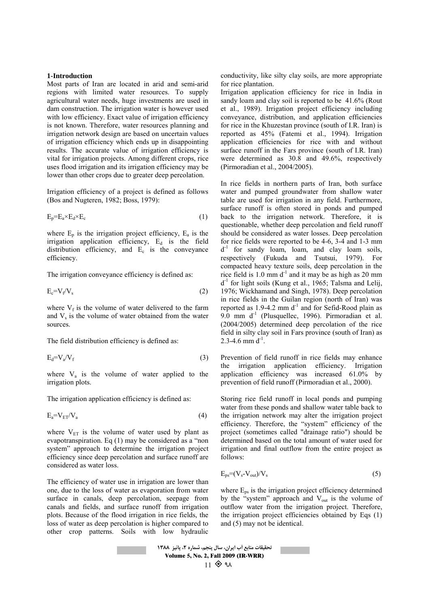#### **1-Introduction**

Most parts of Iran are located in arid and semi-arid regions with limited water resources. To supply agricultural water needs, huge investments are used in dam construction. The irrigation water is however used with low efficiency. Exact value of irrigation efficiency is not known. Therefore, water resources planning and irrigation network design are based on uncertain values of irrigation efficiency which ends up in disappointing results. The accurate value of irrigation efficiency is vital for irrigation projects. Among different crops, rice uses flood irrigation and its irrigation efficiency may be lower than other crops due to greater deep percolation.

Irrigation efficiency of a project is defined as follows (Bos and Nugteren, 1982; Boss, 1979):

$$
E_p = E_a \times E_d \times E_c \tag{1}
$$

where  $E_p$  is the irrigation project efficiency,  $E_a$  is the irrigation application efficiency,  $E_d$  is the field distribution efficiency, and  $E_c$  is the conveyance efficiency.

The irrigation conveyance efficiency is defined as:

$$
E_c = V_f / V_s \tag{2}
$$

where  $V_f$  is the volume of water delivered to the farm and  $V<sub>s</sub>$  is the volume of water obtained from the water sources.

The field distribution efficiency is defined as:

$$
E_d = V_a / V_f \tag{3}
$$

where  $V_a$  is the volume of water applied to the irrigation plots.

The irrigation application efficiency is defined as:

$$
E_a = V_{ET}/V_a \tag{4}
$$

where  $V_{ET}$  is the volume of water used by plant as evapotranspiration. Eq (1) may be considered as a "non system" approach to determine the irrigation project efficiency since deep percolation and surface runoff are considered as water loss.

The efficiency of water use in irrigation are lower than one, due to the loss of water as evaporation from water surface in canals, deep percolation, seepage from canals and fields, and surface runoff from irrigation plots. Because of the flood irrigation in rice fields, the loss of water as deep percolation is higher compared to other crop patterns. Soils with low hydraulic

conductivity, like silty clay soils, are more appropriate for rice plantation.

Irrigation application efficiency for rice in India in sandy loam and clay soil is reported to be 41.6% (Rout et al., 1989). Irrigation project efficiency including conveyance, distribution, and application efficiencies for rice in the Khuzestan province (south of I.R. Iran) is reported as 45% (Fatemi et al., 1994). Irrigation application efficiencies for rice with and without surface runoff in the Fars province (south of I.R. Iran) were determined as 30.8 and 49.6%, respectively (Pirmoradian et al., 2004/2005).

In rice fields in northern parts of Iran, both surface water and pumped groundwater from shallow water table are used for irrigation in any field. Furthermore, surface runoff is often stored in ponds and pumped back to the irrigation network. Therefore, it is questionable, whether deep percolation and field runoff should be considered as water losses. Deep percolation for rice fields were reported to be 4-6, 3-4 and 1-3 mm  $d^{-1}$  for sandy loam, loam, and clay loam soils, respectively (Fukuda and Tsutsui, 1979). For compacted heavy texture soils, deep percolation in the rice field is  $1.0 \text{ mm} \, \text{d}^{-1}$  and it may be as high as  $20 \text{ mm}$  $d^{-1}$  for light soils (Kung et al., 1965; Talsma and Lelij, 1976; Wickhamand and Singh, 1978). Deep percolation in rice fields in the Guilan region (north of Iran) was reported as  $1.9$ -4.2 mm  $d<sup>-1</sup>$  and for Sefid-Rood plain as 9.0 mm  $d<sup>-1</sup>$  (Plusquellec, 1996). Pirmoradian et al. (2004/2005) determined deep percolation of the rice field in silty clay soil in Fars province (south of Iran) as  $2.3-4.6$  mm d<sup>-1</sup>.

Prevention of field runoff in rice fields may enhance the irrigation application efficiency. Irrigation application efficiency was increased 61.0% by prevention of field runoff (Pirmoradian et al., 2000).

Storing rice field runoff in local ponds and pumping water from these ponds and shallow water table back to the irrigation network may alter the irrigation project efficiency. Therefore, the "system" efficiency of the project (sometimes called "drainage ratio") should be determined based on the total amount of water used for irrigation and final outflow from the entire project as follows:

$$
E_{ps} = (V_s - V_{out})/V_s \tag{5}
$$

where  $E_{ps}$  is the irrigation project efficiency determined by the "system" approach and  $V_{out}$  is the volume of outflow water from the irrigation project. Therefore, the irrigation project efficiencies obtained by Eqs (1) and (5) may not be identical.

**تحقيقات منابع آب ايران، سال پنجم، شماره ،2 پائيز 1388** Volume 5, No. 2, Fall 2009 (IR-WRR)  $11 \otimes q$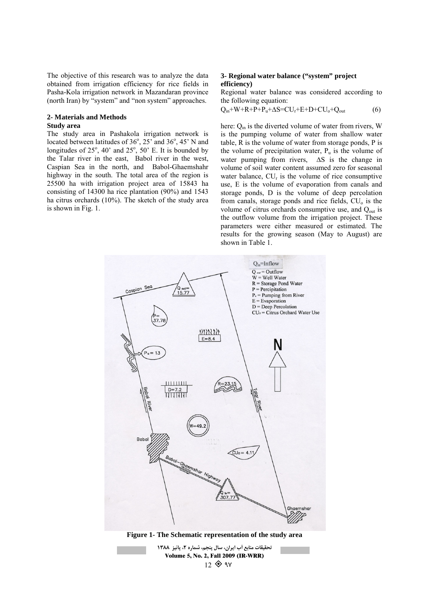The objective of this research was to analyze the data obtained from irrigation efficiency for rice fields in Pasha-Kola irrigation network in Mazandaran province (north Iran) by "system" and "non system" approaches.

## **2- Materials and Methods**

#### **Study area**

The study area in Pashakola irrigation network is located between latitudes of  $36^\circ$ ,  $25^\circ$  and  $36^\circ$ ,  $45^\circ$  N and longitudes of  $25^\circ$ ,  $40^\circ$  and  $25^\circ$ ,  $50^\circ$  E. It is bounded by the Talar river in the east, Babol river in the west, Caspian Sea in the north, and Babol-Ghaemshahr highway in the south. The total area of the region is 25500 ha with irrigation project area of 15843 ha consisting of 14300 ha rice plantation (90%) and 1543 ha citrus orchards (10%). The sketch of the study area is shown in Fig. 1.

## **3- Regional water balance ("system" project efficiency)**

Regional water balance was considered according to the following equation:

## $Q_{in}$ +W+R+P+P<sub>u</sub>+ $\Delta S = CU_r + E + D + CU_o + Q_{out}$  (6)

here: Q<sub>in</sub> is the diverted volume of water from rivers, W is the pumping volume of water from shallow water table, R is the volume of water from storage ponds, P is the volume of precipitation water,  $P_u$  is the volume of water pumping from rivers, ∆S is the change in volume of soil water content assumed zero for seasonal water balance,  $CU_r$  is the volume of rice consumptive use, E is the volume of evaporation from canals and storage ponds, D is the volume of deep percolation from canals, storage ponds and rice fields,  $CU<sub>o</sub>$  is the volume of citrus orchards consumptive use, and  $Q<sub>out</sub>$  is the outflow volume from the irrigation project. These parameters were either measured or estimated. The results for the growing season (May to August) are shown in Table 1.



**تحقيقات منابع آب ايران، سال پنجم، شماره ،2 پائيز 1388** Volume 5, No. 2, Fall 2009 (IR-WRR)  $12 \otimes qv$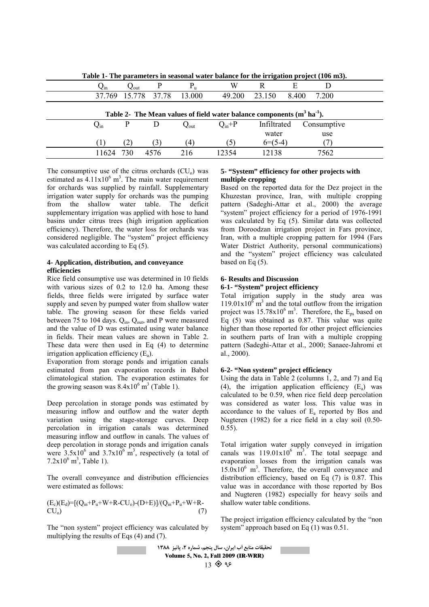|                                                                              |                          |                            |                     |                  |            | -           |       |             |  |
|------------------------------------------------------------------------------|--------------------------|----------------------------|---------------------|------------------|------------|-------------|-------|-------------|--|
|                                                                              | $Q_{\rm in}$             | $\mathcal{L}_{\text{out}}$ |                     | $P_u$            | W          |             | E     |             |  |
|                                                                              |                          |                            | 37.769 15.778 37.78 | 13.000           | 49.200     | 23.150      | 8.400 | 7.200       |  |
| Table 2- The Mean values of field water balance components $(m^3 \, ha^1)$ . |                          |                            |                     |                  |            |             |       |             |  |
|                                                                              | $\mathbf{Q}_{\text{in}}$ | P                          | Ð                   | $Q_{\text{out}}$ | $Q_{in}+P$ | Infiltrated |       | Consumptive |  |
|                                                                              |                          |                            |                     |                  |            | water       |       | use         |  |
|                                                                              |                          | (2)                        | (3)                 | (4)              | (5)        | $6=(5-4)$   |       |             |  |
|                                                                              | 11624                    | 730                        | 4576                | 216              | 12354      | 12138       |       | 7562        |  |
|                                                                              |                          |                            |                     |                  |            |             |       |             |  |

**Table 1- The parameters in seasonal water balance for the irrigation project (106 m3).** 

The consumptive use of the citrus orchards  $(CU_0)$  was estimated as  $4.11 \times 10^6$  m<sup>3</sup>. The main water requirement for orchards was supplied by rainfall. Supplementary irrigation water supply for orchards was the pumping from the shallow water table. The deficit supplementary irrigation was applied with hose to hand basins under citrus trees (high irrigation application efficiency). Therefore, the water loss for orchards was considered negligible. The "system" project efficiency was calculated according to Eq  $(5)$ .

#### **4- Application, distribution, and conveyance efficiencies**

Rice field consumptive use was determined in 10 fields with various sizes of 0.2 to 12.0 ha. Among these fields, three fields were irrigated by surface water supply and seven by pumped water from shallow water table. The growing season for these fields varied between 75 to 104 days. Q<sub>in</sub>, Q<sub>out</sub>, and P were measured and the value of D was estimated using water balance in fields. Their mean values are shown in Table 2. These data were then used in Eq (4) to determine irrigation application efficiency  $(E_a)$ .

Evaporation from storage ponds and irrigation canals estimated from pan evaporation records in Babol climatological station. The evaporation estimates for the growing season was  $8.4 \times 10^6$  m<sup>3</sup> (Table 1).

Deep percolation in storage ponds was estimated by measuring inflow and outflow and the water depth variation using the stage-storage curves. Deep percolation in irrigation canals was determined measuring inflow and outflow in canals. The values of deep percolation in storage ponds and irrigation canals were  $3.5x10^6$  and  $3.7x10^6$  m<sup>3</sup>, respectively (a total of  $7.2 \times 10^6$  m<sup>3</sup>, Table 1).

The overall conveyance and distribution efficiencies were estimated as follows:

$$
\begin{array}{l} (E_c)(E_d)\!\!=\!\! [(Q_{in}\!\!+\!\!P_u\!\!+\!W\!\!+\!\!R\!\!-\!\!CU_o)\!\!-\!\!(D\!\!+\!\!E)]\!/(Q_{in}\!\!+\!\!P_u\!\!+\!W\!\!+\!\!R\!\!-\!\!CU_o) \qquad \qquad (7) \\ \end{array}
$$

The "non system" project efficiency was calculated by multiplying the results of Eqs (4) and (7).

## **5- "System" efficiency for other projects with multiple cropping**

Based on the reported data for the Dez project in the Khuzestan province, Iran, with multiple cropping pattern (Sadeghi-Attar et al., 2000) the average "system" project efficiency for a period of 1976-1991 was calculated by Eq (5). Similar data was collected from Doroodzan irrigation project in Fars province, Iran, with a multiple cropping pattern for 1994 (Fars Water District Authority, personal communications) and the "system" project efficiency was calculated based on Eq (5).

# **6- Results and Discussion**

# **6-1- "System" project efficiency**

Total irrigation supply in the study area was  $119.01 \times 10^{\overline{6}}$  m<sup>3</sup> and the total outflow from the irrigation project was  $15.78 \times 10^6$  m<sup>3</sup>. Therefore, the E<sub>ps</sub> based on Eq  $(5)$  was obtained as 0.87. This value was quite higher than those reported for other project efficiencies in southern parts of Iran with a multiple cropping pattern (Sadeghi-Attar et al., 2000; Sanaee-Jahromi et al., 2000).

#### **6-2- "Non system" project efficiency**

Using the data in Table 2 (columns 1, 2, and 7) and Eq (4), the irrigation application efficiency  $(E_a)$  was calculated to be 0.59, when rice field deep percolation was considered as water loss. This value was in accordance to the values of  $E_a$  reported by Bos and Nugteren (1982) for a rice field in a clay soil (0.50- 0.55).

Total irrigation water supply conveyed in irrigation canals was  $119.01 \times 10^6$  m<sup>3</sup>. The total seepage and evaporation losses from the irrigation canals was  $15.0x10<sup>6</sup>$  m<sup>3</sup>. Therefore, the overall conveyance and distribution efficiency, based on Eq (7) is 0.87. This value was in accordance with those reported by Bos and Nugteren (1982) especially for heavy soils and shallow water table conditions.

The project irrigation efficiency calculated by the "non system" approach based on Eq (1) was 0.51.

**تحقيقات منابع آب ايران، سال پنجم، شماره ،2 پائيز 1388** Volume 5, No. 2, Fall 2009 (IR-WRR)  $13$   $\circledast$   $95$